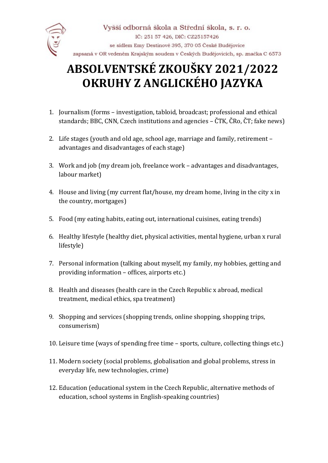

## **ABSOLVENTSKÉ ZKOUŠKY 2021/2022 OKRUHY Z ANGLICKÉHO JAZYKA**

- 1. Journalism (forms investigation, tabloid, broadcast; professional and ethical standards; BBC, CNN, Czech institutions and agencies – ČTK, ČRo, ČT; fake news)
- 2. Life stages (youth and old age, school age, marriage and family, retirement advantages and disadvantages of each stage)
- 3. Work and job (my dream job, freelance work advantages and disadvantages, labour market)
- 4. House and living (my current flat/house, my dream home, living in the city x in the country, mortgages)
- 5. Food (my eating habits, eating out, international cuisines, eating trends)
- 6. Healthy lifestyle (healthy diet, physical activities, mental hygiene, urban x rural lifestyle)
- 7. Personal information (talking about myself, my family, my hobbies, getting and providing information – offices, airports etc.)
- 8. Health and diseases (health care in the Czech Republic x abroad, medical treatment, medical ethics, spa treatment)
- 9. Shopping and services (shopping trends, online shopping, shopping trips, consumerism)
- 10. Leisure time (ways of spending free time sports, culture, collecting things etc.)
- 11. Modern society (social problems, globalisation and global problems, stress in everyday life, new technologies, crime)
- 12. Education (educational system in the Czech Republic, alternative methods of education, school systems in English-speaking countries)